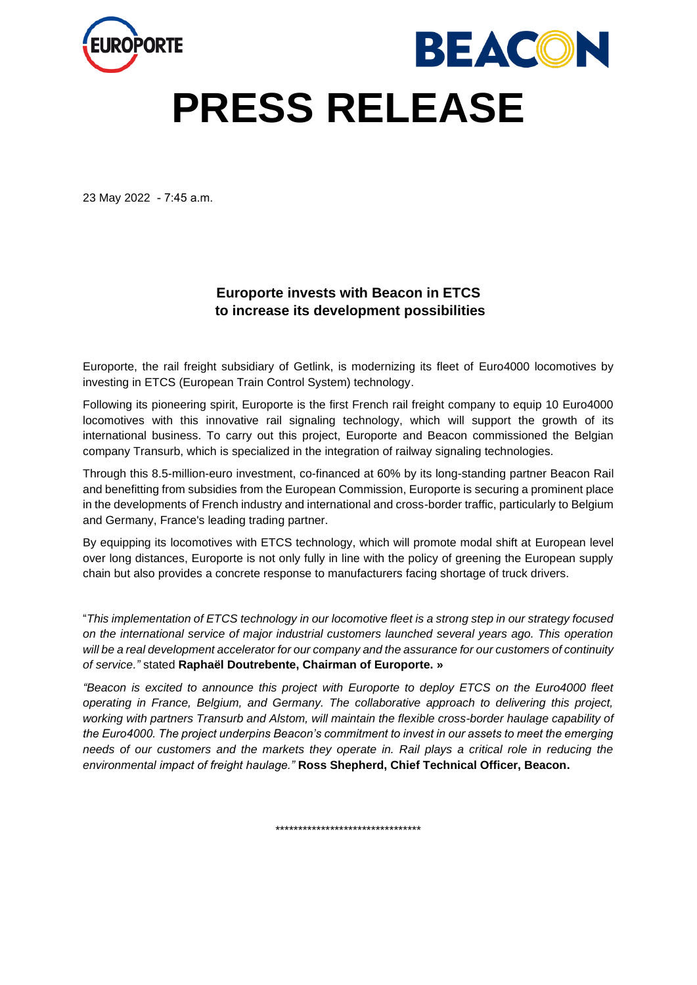

23 May 2022 - 7:45 a.m.

## **Europorte invests with Beacon in ETCS to increase its development possibilities**

Europorte, the rail freight subsidiary of Getlink, is modernizing its fleet of Euro4000 locomotives by investing in ETCS (European Train Control System) technology.

Following its pioneering spirit, Europorte is the first French rail freight company to equip 10 Euro4000 locomotives with this innovative rail signaling technology, which will support the growth of its international business. To carry out this project, Europorte and Beacon commissioned the Belgian company Transurb, which is specialized in the integration of railway signaling technologies.

Through this 8.5-million-euro investment, co-financed at 60% by its long-standing partner Beacon Rail and benefitting from subsidies from the European Commission, Europorte is securing a prominent place in the developments of French industry and international and cross-border traffic, particularly to Belgium and Germany, France's leading trading partner.

By equipping its locomotives with ETCS technology, which will promote modal shift at European level over long distances, Europorte is not only fully in line with the policy of greening the European supply chain but also provides a concrete response to manufacturers facing shortage of truck drivers.

"*This implementation of ETCS technology in our locomotive fleet is a strong step in our strategy focused on the international service of major industrial customers launched several years ago. This operation will be a real development accelerator for our company and the assurance for our customers of continuity of service."* stated **Raphaël Doutrebente, Chairman of Europorte. »**

*"Beacon is excited to announce this project with Europorte to deploy ETCS on the Euro4000 fleet operating in France, Belgium, and Germany. The collaborative approach to delivering this project, working with partners Transurb and Alstom, will maintain the flexible cross-border haulage capability of the Euro4000. The project underpins Beacon's commitment to invest in our assets to meet the emerging needs of our customers and the markets they operate in. Rail plays a critical role in reducing the environmental impact of freight haulage."* **Ross Shepherd, Chief Technical Officer, Beacon.**

\*\*\*\*\*\*\*\*\*\*\*\*\*\*\*\*\*\*\*\*\*\*\*\*\*\*\*\*\*\*\*\*